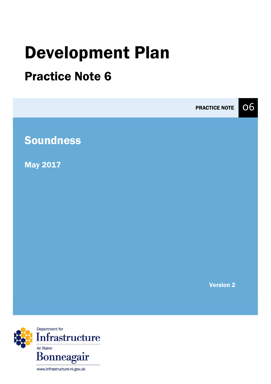# Development Plan

# Practice Note 6



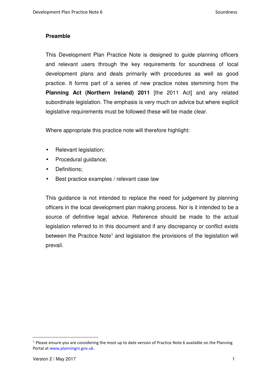#### **Preamble**

This Development Plan Practice Note is designed to guide planning officers and relevant users through the key requirements for soundness of local development plans and deals primarily with procedures as well as good practice. It forms part of a series of new practice notes stemming from the **Planning Act (Northern Ireland) 2011** [the 2011 Act] and any related subordinate legislation. The emphasis is very much on advice but where explicit legislative requirements must be followed these will be made clear.

Where appropriate this practice note will therefore highlight:

- Relevant legislation;
- Procedural guidance;
- Definitions;
- Best practice examples / relevant case law

This guidance is not intended to replace the need for judgement by planning officers in the local development plan making process. Nor is it intended to be a source of definitive legal advice. Reference should be made to the actual legislation referred to in this document and if any discrepancy or conflict exists between the Practice Note<sup>1</sup> and legislation the provisions of the legislation will prevail.

<sup>1</sup> Please ensure you are considering the most up to date version of Practice Note 6 available on the Planning Portal at www.planningni.gov.uk.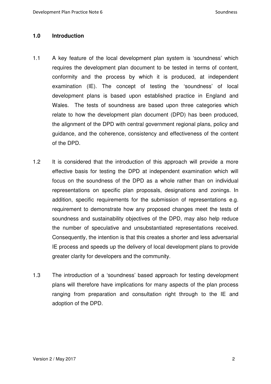#### **1.0 Introduction**

- 1.1 A key feature of the local development plan system is 'soundness' which requires the development plan document to be tested in terms of content, conformity and the process by which it is produced, at independent examination (IE). The concept of testing the 'soundness' of local development plans is based upon established practice in England and Wales. The tests of soundness are based upon three categories which relate to how the development plan document (DPD) has been produced, the alignment of the DPD with central government regional plans, policy and guidance, and the coherence, consistency and effectiveness of the content of the DPD.
- 1.2 It is considered that the introduction of this approach will provide a more effective basis for testing the DPD at independent examination which will focus on the soundness of the DPD as a whole rather than on individual representations on specific plan proposals, designations and zonings. In addition, specific requirements for the submission of representations e.g. requirement to demonstrate how any proposed changes meet the tests of soundness and sustainability objectives of the DPD, may also help reduce the number of speculative and unsubstantiated representations received. Consequently, the intention is that this creates a shorter and less adversarial IE process and speeds up the delivery of local development plans to provide greater clarity for developers and the community.
- 1.3 The introduction of a 'soundness' based approach for testing development plans will therefore have implications for many aspects of the plan process ranging from preparation and consultation right through to the IE and adoption of the DPD.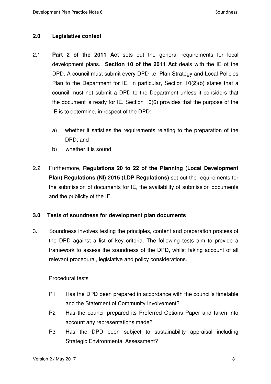#### **2.0 Legislative context**

- 2.1 **Part 2 of the 2011 Act** sets out the general requirements for local development plans. **Section 10 of the 2011 Act** deals with the IE of the DPD. A council must submit every DPD i.e. Plan Strategy and Local Policies Plan to the Department for IE. In particular, Section 10(2)(b) states that a council must not submit a DPD to the Department unless it considers that the document is ready for IE. Section 10(6) provides that the purpose of the IE is to determine, in respect of the DPD:
	- a) whether it satisfies the requirements relating to the preparation of the DPD; and
	- b) whether it is sound.
- 2.2 Furthermore, **Regulations 20 to 22 of the Planning (Local Development Plan) Regulations (NI) 2015 (LDP Regulations)** set out the requirements for the submission of documents for IE, the availability of submission documents and the publicity of the IE.

#### **3.0 Tests of soundness for development plan documents**

3.1 Soundness involves testing the principles, content and preparation process of the DPD against a list of key criteria. The following tests aim to provide a framework to assess the soundness of the DPD, whilst taking account of all relevant procedural, legislative and policy considerations.

#### Procedural tests

- P1 Has the DPD been prepared in accordance with the council's timetable and the Statement of Community Involvement?
- P2 Has the council prepared its Preferred Options Paper and taken into account any representations made?
- P3 Has the DPD been subject to sustainability appraisal including Strategic Environmental Assessment?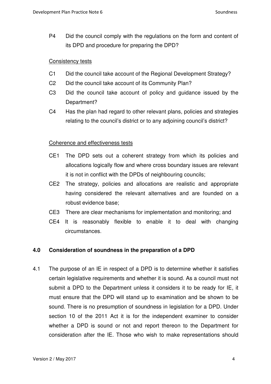P4 Did the council comply with the regulations on the form and content of its DPD and procedure for preparing the DPD?

#### **Consistency tests**

- C1 Did the council take account of the Regional Development Strategy?
- C2 Did the council take account of its Community Plan?
- C3 Did the council take account of policy and guidance issued by the Department?
- C4 Has the plan had regard to other relevant plans, policies and strategies relating to the council's district or to any adjoining council's district?

#### Coherence and effectiveness tests

- CE1 The DPD sets out a coherent strategy from which its policies and allocations logically flow and where cross boundary issues are relevant it is not in conflict with the DPDs of neighbouring councils;
- CE2 The strategy, policies and allocations are realistic and appropriate having considered the relevant alternatives and are founded on a robust evidence base;
- CE3 There are clear mechanisms for implementation and monitoring; and
- CE4 It is reasonably flexible to enable it to deal with changing circumstances.

#### **4.0 Consideration of soundness in the preparation of a DPD**

4.1 The purpose of an IE in respect of a DPD is to determine whether it satisfies certain legislative requirements and whether it is sound. As a council must not submit a DPD to the Department unless it considers it to be ready for IE, it must ensure that the DPD will stand up to examination and be shown to be sound. There is no presumption of soundness in legislation for a DPD. Under section 10 of the 2011 Act it is for the independent examiner to consider whether a DPD is sound or not and report thereon to the Department for consideration after the IE. Those who wish to make representations should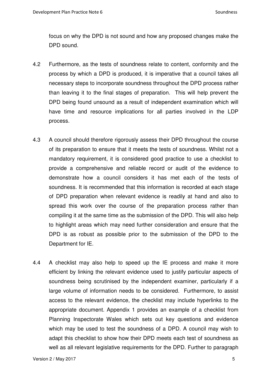focus on why the DPD is not sound and how any proposed changes make the DPD sound.

- 4.2 Furthermore, as the tests of soundness relate to content, conformity and the process by which a DPD is produced, it is imperative that a council takes all necessary steps to incorporate soundness throughout the DPD process rather than leaving it to the final stages of preparation. This will help prevent the DPD being found unsound as a result of independent examination which will have time and resource implications for all parties involved in the LDP process.
- 4.3 A council should therefore rigorously assess their DPD throughout the course of its preparation to ensure that it meets the tests of soundness. Whilst not a mandatory requirement, it is considered good practice to use a checklist to provide a comprehensive and reliable record or audit of the evidence to demonstrate how a council considers it has met each of the tests of soundness. It is recommended that this information is recorded at each stage of DPD preparation when relevant evidence is readily at hand and also to spread this work over the course of the preparation process rather than compiling it at the same time as the submission of the DPD. This will also help to highlight areas which may need further consideration and ensure that the DPD is as robust as possible prior to the submission of the DPD to the Department for IE.
- 4.4 A checklist may also help to speed up the IE process and make it more efficient by linking the relevant evidence used to justify particular aspects of soundness being scrutinised by the independent examiner, particularly if a large volume of information needs to be considered. Furthermore, to assist access to the relevant evidence, the checklist may include hyperlinks to the appropriate document. Appendix 1 provides an example of a checklist from Planning Inspectorate Wales which sets out key questions and evidence which may be used to test the soundness of a DPD. A council may wish to adapt this checklist to show how their DPD meets each test of soundness as well as all relevant legislative requirements for the DPD. Further to paragraph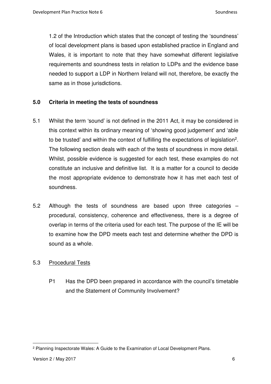1.2 of the Introduction which states that the concept of testing the 'soundness' of local development plans is based upon established practice in England and Wales, it is important to note that they have somewhat different legislative requirements and soundness tests in relation to LDPs and the evidence base needed to support a LDP in Northern Ireland will not, therefore, be exactly the same as in those jurisdictions.

#### **5.0 Criteria in meeting the tests of soundness**

- 5.1 Whilst the term 'sound' is not defined in the 2011 Act, it may be considered in this context within its ordinary meaning of 'showing good judgement' and 'able to be trusted' and within the context of fulfilling the expectations of legislation<sup>2</sup>. The following section deals with each of the tests of soundness in more detail. Whilst, possible evidence is suggested for each test, these examples do not constitute an inclusive and definitive list. It is a matter for a council to decide the most appropriate evidence to demonstrate how it has met each test of soundness.
- 5.2 Although the tests of soundness are based upon three categories procedural, consistency, coherence and effectiveness, there is a degree of overlap in terms of the criteria used for each test. The purpose of the IE will be to examine how the DPD meets each test and determine whether the DPD is sound as a whole.

#### 5.3 Procedural Tests

P1 Has the DPD been prepared in accordance with the council's timetable and the Statement of Community Involvement?

<sup>2</sup> Planning Inspectorate Wales: A Guide to the Examination of Local Development Plans.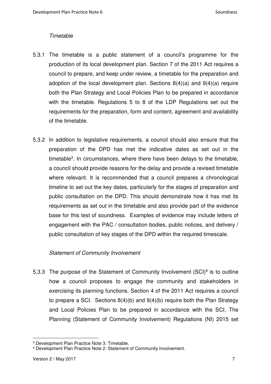#### **Timetable**

- 5.3.1 The timetable is a public statement of a council's programme for the production of its local development plan. Section 7 of the 2011 Act requires a council to prepare, and keep under review, a timetable for the preparation and adoption of the local development plan. Sections 8(4)(a) and 9(4)(a) require both the Plan Strategy and Local Policies Plan to be prepared in accordance with the timetable. Regulations 5 to 8 of the LDP Regulations set out the requirements for the preparation, form and content, agreement and availability of the timetable.
- 5.3.2 In addition to legislative requirements, a council should also ensure that the preparation of the DPD has met the indicative dates as set out in the timetable<sup>3</sup>. In circumstances, where there have been delays to the timetable, a council should provide reasons for the delay and provide a revised timetable where relevant. It is recommended that a council prepares a chronological timeline to set out the key dates, particularly for the stages of preparation and public consultation on the DPD. This should demonstrate how it has met its requirements as set out in the timetable and also provide part of the evidence base for this test of soundness. Examples of evidence may include letters of engagement with the PAC / consultation bodies, public notices, and delivery / public consultation of key stages of the DPD within the required timescale.

#### Statement of Community Involvement

5.3.3 The purpose of the Statement of Community Involvement (SCI)<sup>4</sup> is to outline how a council proposes to engage the community and stakeholders in exercising its planning functions. Section 4 of the 2011 Act requires a council to prepare a SCI. Sections 8(4)(b) and 9(4)(b) require both the Plan Strategy and Local Policies Plan to be prepared in accordance with the SCI. The Planning (Statement of Community Involvement) Regulations (NI) 2015 set

<sup>3</sup> Development Plan Practice Note 3: Timetable.

<sup>4</sup> Development Plan Practice Note 2: Statement of Community Involvement.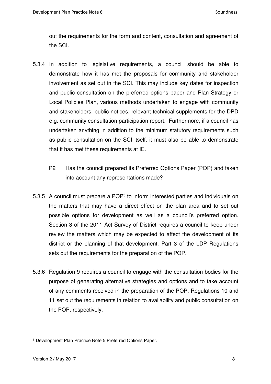out the requirements for the form and content, consultation and agreement of the SCI.

- 5.3.4 In addition to legislative requirements, a council should be able to demonstrate how it has met the proposals for community and stakeholder involvement as set out in the SCI. This may include key dates for inspection and public consultation on the preferred options paper and Plan Strategy or Local Policies Plan, various methods undertaken to engage with community and stakeholders, public notices, relevant technical supplements for the DPD e.g. community consultation participation report. Furthermore, if a council has undertaken anything in addition to the minimum statutory requirements such as public consultation on the SCI itself, it must also be able to demonstrate that it has met these requirements at IE.
	- P2 Has the council prepared its Preferred Options Paper (POP) and taken into account any representations made?
- 5.3.5 A council must prepare a POP<sup>5</sup> to inform interested parties and individuals on the matters that may have a direct effect on the plan area and to set out possible options for development as well as a council's preferred option. Section 3 of the 2011 Act Survey of District requires a council to keep under review the matters which may be expected to affect the development of its district or the planning of that development. Part 3 of the LDP Regulations sets out the requirements for the preparation of the POP.
- 5.3.6 Regulation 9 requires a council to engage with the consultation bodies for the purpose of generating alternative strategies and options and to take account of any comments received in the preparation of the POP. Regulations 10 and 11 set out the requirements in relation to availability and public consultation on the POP, respectively.

<sup>5</sup> Development Plan Practice Note 5 Preferred Options Paper.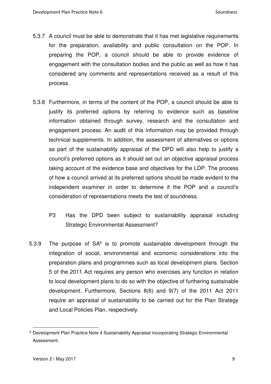- 5.3.7 A council must be able to demonstrate that it has met legislative requirements for the preparation, availability and public consultation on the POP. In preparing the POP, a council should be able to provide evidence of engagement with the consultation bodies and the public as well as how it has considered any comments and representations received as a result of this process.
- 5.3.8 Furthermore, in terms of the content of the POP, a council should be able to justify its preferred options by referring to evidence such as baseline information obtained through survey, research and the consultation and engagement process. An audit of this information may be provided through technical supplements. In addition, the assessment of alternatives or options as part of the sustainability appraisal of the DPD will also help to justify a council's preferred options as it should set out an objective appraisal process taking account of the evidence base and objectives for the LDP. The process of how a council arrived at its preferred options should be made evident to the independent examiner in order to determine if the POP and a council's consideration of representations meets the test of soundness.
	- P3 Has the DPD been subject to sustainability appraisal including Strategic Environmental Assessment?
- 5.3.9 The purpose of  $SA<sup>6</sup>$  is to promote sustainable development through the integration of social, environmental and economic considerations into the preparation plans and programmes such as local development plans. Section 5 of the 2011 Act requires any person who exercises any function in relation to local development plans to do so with the objective of furthering sustainable development. Furthermore, Sections 8(6) and 9(7) of the 2011 Act 2011 require an appraisal of sustainability to be carried out for the Plan Strategy and Local Policies Plan, respectively.

<sup>6</sup> Development Plan Practice Note 4 Sustainability Appraisal incorporating Strategic Environmental Assessment.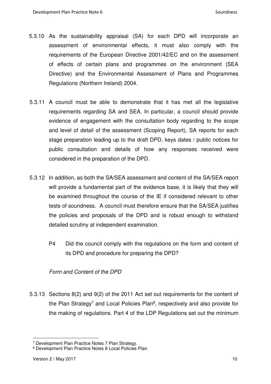- 5.3.10 As the sustainability appraisal (SA) for each DPD will incorporate an assessment of environmental effects, it must also comply with the requirements of the European Directive 2001/42/EC and on the assessment of effects of certain plans and programmes on the environment (SEA Directive) and the Environmental Assessment of Plans and Programmes Regulations (Northern Ireland) 2004.
- 5.3.11 A council must be able to demonstrate that it has met all the legislative requirements regarding SA and SEA. In particular, a council should provide evidence of engagement with the consultation body regarding to the scope and level of detail of the assessment (Scoping Report), SA reports for each stage preparation leading up to the draft DPD, keys dates / public notices for public consultation and details of how any responses received were considered in the preparation of the DPD.
- 5.3.12 In addition, as both the SA/SEA assessment and content of the SA/SEA report will provide a fundamental part of the evidence base, it is likely that they will be examined throughout the course of the IE if considered relevant to other tests of soundness. A council must therefore ensure that the SA/SEA justifies the policies and proposals of the DPD and is robust enough to withstand detailed scrutiny at independent examination.
	- P4 Did the council comply with the regulations on the form and content of its DPD and procedure for preparing the DPD?

#### Form and Content of the DPD

5.3.13 Sections 8(2) and 9(2) of the 2011 Act set out requirements for the content of the Plan Strategy<sup>7</sup> and Local Policies Plan<sup>8</sup>, respectively and also provide for the making of regulations. Part 4 of the LDP Regulations set out the minimum

<sup>7</sup> Development Plan Practice Notes 7 Plan Strategy.

<sup>8</sup> Development Plan Practice Notes 8 Local Policies Plan.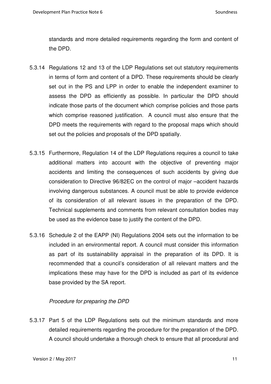standards and more detailed requirements regarding the form and content of the DPD.

- 5.3.14 Regulations 12 and 13 of the LDP Regulations set out statutory requirements in terms of form and content of a DPD. These requirements should be clearly set out in the PS and LPP in order to enable the independent examiner to assess the DPD as efficiently as possible. In particular the DPD should indicate those parts of the document which comprise policies and those parts which comprise reasoned justification. A council must also ensure that the DPD meets the requirements with regard to the proposal maps which should set out the policies and proposals of the DPD spatially.
- 5.3.15 Furthermore, Regulation 14 of the LDP Regulations requires a council to take additional matters into account with the objective of preventing major accidents and limiting the consequences of such accidents by giving due consideration to Directive 96/82EC on the control of major –accident hazards involving dangerous substances. A council must be able to provide evidence of its consideration of all relevant issues in the preparation of the DPD. Technical supplements and comments from relevant consultation bodies may be used as the evidence base to justify the content of the DPD.
- 5.3.16 Schedule 2 of the EAPP (NI) Regulations 2004 sets out the information to be included in an environmental report. A council must consider this information as part of its sustainability appraisal in the preparation of its DPD. It is recommended that a council's consideration of all relevant matters and the implications these may have for the DPD is included as part of its evidence base provided by the SA report.

#### Procedure for preparing the DPD

5.3.17 Part 5 of the LDP Regulations sets out the minimum standards and more detailed requirements regarding the procedure for the preparation of the DPD. A council should undertake a thorough check to ensure that all procedural and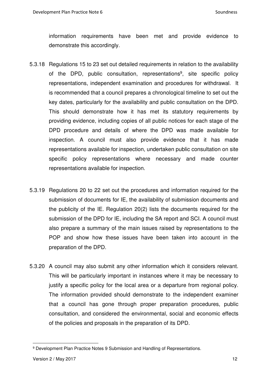information requirements have been met and provide evidence to demonstrate this accordingly.

- 5.3.18 Regulations 15 to 23 set out detailed requirements in relation to the availability of the DPD, public consultation, representations<sup>9</sup>, site specific policy representations, independent examination and procedures for withdrawal. It is recommended that a council prepares a chronological timeline to set out the key dates, particularly for the availability and public consultation on the DPD. This should demonstrate how it has met its statutory requirements by providing evidence, including copies of all public notices for each stage of the DPD procedure and details of where the DPD was made available for inspection. A council must also provide evidence that it has made representations available for inspection, undertaken public consultation on site specific policy representations where necessary and made counter representations available for inspection.
- 5.3.19 Regulations 20 to 22 set out the procedures and information required for the submission of documents for IE, the availability of submission documents and the publicity of the IE. Regulation 20(2) lists the documents required for the submission of the DPD for IE, including the SA report and SCI. A council must also prepare a summary of the main issues raised by representations to the POP and show how these issues have been taken into account in the preparation of the DPD.
- 5.3.20 A council may also submit any other information which it considers relevant. This will be particularly important in instances where it may be necessary to justify a specific policy for the local area or a departure from regional policy. The information provided should demonstrate to the independent examiner that a council has gone through proper preparation procedures, public consultation, and considered the environmental, social and economic effects of the policies and proposals in the preparation of its DPD.

<sup>9</sup> Development Plan Practice Notes 9 Submission and Handling of Representations.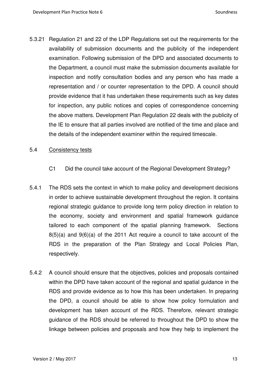5.3.21 Regulation 21 and 22 of the LDP Regulations set out the requirements for the availability of submission documents and the publicity of the independent examination. Following submission of the DPD and associated documents to the Department, a council must make the submission documents available for inspection and notify consultation bodies and any person who has made a representation and / or counter representation to the DPD. A council should provide evidence that it has undertaken these requirements such as key dates for inspection, any public notices and copies of correspondence concerning the above matters. Development Plan Regulation 22 deals with the publicity of the IE to ensure that all parties involved are notified of the time and place and the details of the independent examiner within the required timescale.

#### 5.4 Consistency tests

- C1 Did the council take account of the Regional Development Strategy?
- 5.4.1 The RDS sets the context in which to make policy and development decisions in order to achieve sustainable development throughout the region. It contains regional strategic guidance to provide long term policy direction in relation to the economy, society and environment and spatial framework guidance tailored to each component of the spatial planning framework. Sections 8(5)(a) and 9(6)(a) of the 2011 Act require a council to take account of the RDS in the preparation of the Plan Strategy and Local Policies Plan, respectively.
- 5.4.2 A council should ensure that the objectives, policies and proposals contained within the DPD have taken account of the regional and spatial guidance in the RDS and provide evidence as to how this has been undertaken. In preparing the DPD, a council should be able to show how policy formulation and development has taken account of the RDS. Therefore, relevant strategic guidance of the RDS should be referred to throughout the DPD to show the linkage between policies and proposals and how they help to implement the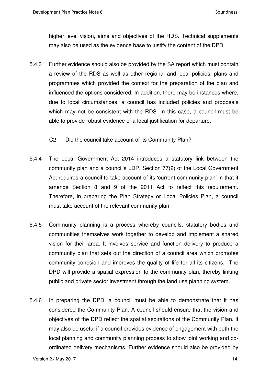higher level vision, aims and objectives of the RDS. Technical supplements may also be used as the evidence base to justify the content of the DPD.

5.4.3 Further evidence should also be provided by the SA report which must contain a review of the RDS as well as other regional and local policies, plans and programmes which provided the context for the preparation of the plan and influenced the options considered. In addition, there may be instances where, due to local circumstances, a council has included policies and proposals which may not be consistent with the RDS. In this case, a council must be able to provide robust evidence of a local justification for departure.

C2 Did the council take account of its Community Plan?

- 5.4.4 The Local Government Act 2014 introduces a statutory link between the community plan and a council's LDP. Section 77(2) of the Local Government Act requires a council to take account of its 'current community plan' in that it amends Section 8 and 9 of the 2011 Act to reflect this requirement. Therefore, in preparing the Plan Strategy or Local Policies Plan, a council must take account of the relevant community plan.
- 5.4.5 Community planning is a process whereby councils, statutory bodies and communities themselves work together to develop and implement a shared vision for their area. It involves service and function delivery to produce a community plan that sets out the direction of a council area which promotes community cohesion and improves the quality of life for all its citizens. The DPD will provide a spatial expression to the community plan, thereby linking public and private sector investment through the land use planning system.
- 5.4.6 In preparing the DPD, a council must be able to demonstrate that it has considered the Community Plan. A council should ensure that the vision and objectives of the DPD reflect the spatial aspirations of the Community Plan. It may also be useful if a council provides evidence of engagement with both the local planning and community planning process to show joint working and coordinated delivery mechanisms. Further evidence should also be provided by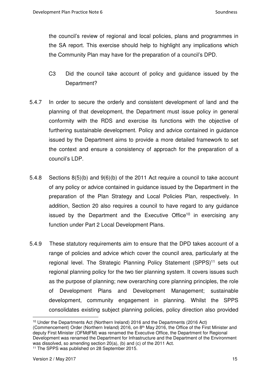the council's review of regional and local policies, plans and programmes in the SA report. This exercise should help to highlight any implications which the Community Plan may have for the preparation of a council's DPD.

- C3 Did the council take account of policy and guidance issued by the Department?
- 5.4.7 In order to secure the orderly and consistent development of land and the planning of that development, the Department must issue policy in general conformity with the RDS and exercise its functions with the objective of furthering sustainable development. Policy and advice contained in guidance issued by the Department aims to provide a more detailed framework to set the context and ensure a consistency of approach for the preparation of a council's LDP.
- 5.4.8 Sections 8(5)(b) and 9(6)(b) of the 2011 Act require a council to take account of any policy or advice contained in guidance issued by the Department in the preparation of the Plan Strategy and Local Policies Plan, respectively. In addition, Section 20 also requires a council to have regard to any guidance issued by the Department and the Executive Office<sup>10</sup> in exercising any function under Part 2 Local Development Plans.
- 5.4.9 These statutory requirements aim to ensure that the DPD takes account of a range of policies and advice which cover the council area, particularly at the regional level. The Strategic Planning Policy Statement (SPPS)<sup>11</sup> sets out regional planning policy for the two tier planning system. It covers issues such as the purpose of planning; new overarching core planning principles, the role of Development Plans and Development Management; sustainable development, community engagement in planning. Whilst the SPPS consolidates existing subject planning policies, policy direction also provided

<sup>10</sup> Under the Departments Act (Northern Ireland) 2016 and the Departments (2016 Act) (Commencement) Order (Northern Ireland) 2016, on  $8<sup>th</sup>$  May 2016, the Office of the First Minister and deputy First Minister (OFMdFM) was renamed the Executive Office, the Department for Regional Development was renamed the Department for Infrastructure and the Department of the Environment was dissolved, so amending section 20(a), (b) and (c) of the 2011 Act. 11 The SPPS was published on 28 September 2015.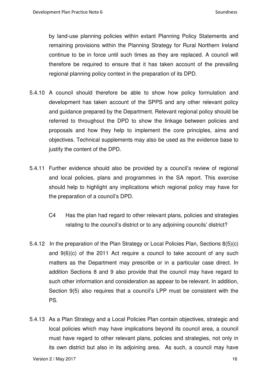by land-use planning policies within extant Planning Policy Statements and remaining provisions within the Planning Strategy for Rural Northern Ireland continue to be in force until such times as they are replaced. A council will therefore be required to ensure that it has taken account of the prevailing regional planning policy context in the preparation of its DPD.

- 5.4.10 A council should therefore be able to show how policy formulation and development has taken account of the SPPS and any other relevant policy and guidance prepared by the Department. Relevant regional policy should be referred to throughout the DPD to show the linkage between policies and proposals and how they help to implement the core principles, aims and objectives. Technical supplements may also be used as the evidence base to justify the content of the DPD.
- 5.4.11 Further evidence should also be provided by a council's review of regional and local policies, plans and programmes in the SA report. This exercise should help to highlight any implications which regional policy may have for the preparation of a council's DPD.
	- C4 Has the plan had regard to other relevant plans, policies and strategies relating to the council's district or to any adjoining councils' district?
- 5.4.12 In the preparation of the Plan Strategy or Local Policies Plan, Sections 8(5)(c) and 9(6)(c) of the 2011 Act require a council to take account of any such matters as the Department may prescribe or in a particular case direct. In addition Sections 8 and 9 also provide that the council may have regard to such other information and consideration as appear to be relevant. In addition, Section 9(5) also requires that a council's LPP must be consistent with the PS.
- 5.4.13 As a Plan Strategy and a Local Policies Plan contain objectives, strategic and local policies which may have implications beyond its council area, a council must have regard to other relevant plans, policies and strategies, not only in its own district but also in its adjoining area. As such, a council may have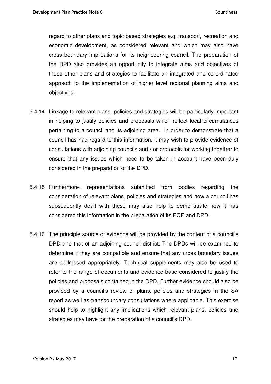regard to other plans and topic based strategies e.g. transport, recreation and economic development, as considered relevant and which may also have cross boundary implications for its neighbouring council. The preparation of the DPD also provides an opportunity to integrate aims and objectives of these other plans and strategies to facilitate an integrated and co-ordinated approach to the implementation of higher level regional planning aims and objectives.

- 5.4.14 Linkage to relevant plans, policies and strategies will be particularly important in helping to justify policies and proposals which reflect local circumstances pertaining to a council and its adjoining area. In order to demonstrate that a council has had regard to this information, it may wish to provide evidence of consultations with adjoining councils and / or protocols for working together to ensure that any issues which need to be taken in account have been duly considered in the preparation of the DPD.
- 5.4.15 Furthermore, representations submitted from bodies regarding the consideration of relevant plans, policies and strategies and how a council has subsequently dealt with these may also help to demonstrate how it has considered this information in the preparation of its POP and DPD.
- 5.4.16 The principle source of evidence will be provided by the content of a council's DPD and that of an adjoining council district. The DPDs will be examined to determine if they are compatible and ensure that any cross boundary issues are addressed appropriately. Technical supplements may also be used to refer to the range of documents and evidence base considered to justify the policies and proposals contained in the DPD. Further evidence should also be provided by a council's review of plans, policies and strategies in the SA report as well as transboundary consultations where applicable. This exercise should help to highlight any implications which relevant plans, policies and strategies may have for the preparation of a council's DPD.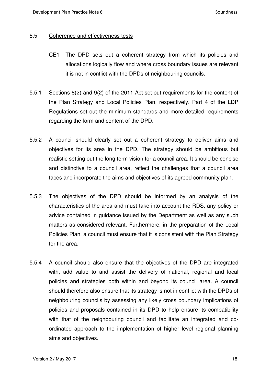#### 5.5 Coherence and effectiveness tests

- CE1 The DPD sets out a coherent strategy from which its policies and allocations logically flow and where cross boundary issues are relevant it is not in conflict with the DPDs of neighbouring councils.
- 5.5.1 Sections 8(2) and 9(2) of the 2011 Act set out requirements for the content of the Plan Strategy and Local Policies Plan, respectively. Part 4 of the LDP Regulations set out the minimum standards and more detailed requirements regarding the form and content of the DPD.
- 5.5.2 A council should clearly set out a coherent strategy to deliver aims and objectives for its area in the DPD. The strategy should be ambitious but realistic setting out the long term vision for a council area. It should be concise and distinctive to a council area, reflect the challenges that a council area faces and incorporate the aims and objectives of its agreed community plan.
- 5.5.3 The objectives of the DPD should be informed by an analysis of the characteristics of the area and must take into account the RDS, any policy or advice contained in guidance issued by the Department as well as any such matters as considered relevant. Furthermore, in the preparation of the Local Policies Plan, a council must ensure that it is consistent with the Plan Strategy for the area.
- 5.5.4 A council should also ensure that the objectives of the DPD are integrated with, add value to and assist the delivery of national, regional and local policies and strategies both within and beyond its council area. A council should therefore also ensure that its strategy is not in conflict with the DPDs of neighbouring councils by assessing any likely cross boundary implications of policies and proposals contained in its DPD to help ensure its compatibility with that of the neighbouring council and facilitate an integrated and coordinated approach to the implementation of higher level regional planning aims and objectives.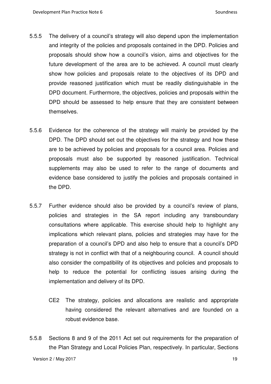- 5.5.5 The delivery of a council's strategy will also depend upon the implementation and integrity of the policies and proposals contained in the DPD. Policies and proposals should show how a council's vision, aims and objectives for the future development of the area are to be achieved. A council must clearly show how policies and proposals relate to the objectives of its DPD and provide reasoned justification which must be readily distinguishable in the DPD document. Furthermore, the objectives, policies and proposals within the DPD should be assessed to help ensure that they are consistent between themselves.
- 5.5.6 Evidence for the coherence of the strategy will mainly be provided by the DPD. The DPD should set out the objectives for the strategy and how these are to be achieved by policies and proposals for a council area. Policies and proposals must also be supported by reasoned justification. Technical supplements may also be used to refer to the range of documents and evidence base considered to justify the policies and proposals contained in the DPD.
- 5.5.7 Further evidence should also be provided by a council's review of plans, policies and strategies in the SA report including any transboundary consultations where applicable. This exercise should help to highlight any implications which relevant plans, policies and strategies may have for the preparation of a council's DPD and also help to ensure that a council's DPD strategy is not in conflict with that of a neighbouring council. A council should also consider the compatibility of its objectives and policies and proposals to help to reduce the potential for conflicting issues arising during the implementation and delivery of its DPD.
	- CE2 The strategy, policies and allocations are realistic and appropriate having considered the relevant alternatives and are founded on a robust evidence base.
- 5.5.8 Sections 8 and 9 of the 2011 Act set out requirements for the preparation of the Plan Strategy and Local Policies Plan, respectively. In particular, Sections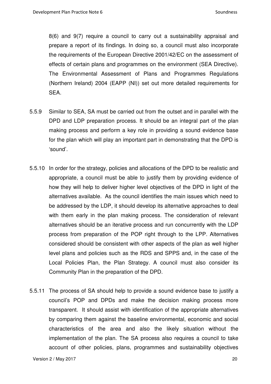8(6) and 9(7) require a council to carry out a sustainability appraisal and prepare a report of its findings. In doing so, a council must also incorporate the requirements of the European Directive 2001/42/EC on the assessment of effects of certain plans and programmes on the environment (SEA Directive). The Environmental Assessment of Plans and Programmes Regulations (Northern Ireland) 2004 (EAPP (NI)) set out more detailed requirements for SEA.

- 5.5.9 Similar to SEA, SA must be carried out from the outset and in parallel with the DPD and LDP preparation process. It should be an integral part of the plan making process and perform a key role in providing a sound evidence base for the plan which will play an important part in demonstrating that the DPD is 'sound'.
- 5.5.10 In order for the strategy, policies and allocations of the DPD to be realistic and appropriate, a council must be able to justify them by providing evidence of how they will help to deliver higher level objectives of the DPD in light of the alternatives available. As the council identifies the main issues which need to be addressed by the LDP, it should develop its alternative approaches to deal with them early in the plan making process. The consideration of relevant alternatives should be an iterative process and run concurrently with the LDP process from preparation of the POP right through to the LPP. Alternatives considered should be consistent with other aspects of the plan as well higher level plans and policies such as the RDS and SPPS and, in the case of the Local Policies Plan, the Plan Strategy. A council must also consider its Community Plan in the preparation of the DPD.
- 5.5.11 The process of SA should help to provide a sound evidence base to justify a council's POP and DPDs and make the decision making process more transparent. It should assist with identification of the appropriate alternatives by comparing them against the baseline environmental, economic and social characteristics of the area and also the likely situation without the implementation of the plan. The SA process also requires a council to take account of other policies, plans, programmes and sustainability objectives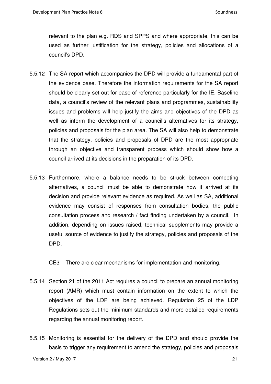relevant to the plan e.g. RDS and SPPS and where appropriate, this can be used as further justification for the strategy, policies and allocations of a council's DPD.

- 5.5.12 The SA report which accompanies the DPD will provide a fundamental part of the evidence base. Therefore the information requirements for the SA report should be clearly set out for ease of reference particularly for the IE. Baseline data, a council's review of the relevant plans and programmes, sustainability issues and problems will help justify the aims and objectives of the DPD as well as inform the development of a council's alternatives for its strategy, policies and proposals for the plan area. The SA will also help to demonstrate that the strategy, policies and proposals of DPD are the most appropriate through an objective and transparent process which should show how a council arrived at its decisions in the preparation of its DPD.
- 5.5.13 Furthermore, where a balance needs to be struck between competing alternatives, a council must be able to demonstrate how it arrived at its decision and provide relevant evidence as required. As well as SA, additional evidence may consist of responses from consultation bodies, the public consultation process and research / fact finding undertaken by a council. In addition, depending on issues raised, technical supplements may provide a useful source of evidence to justify the strategy, policies and proposals of the DPD.

CE3 There are clear mechanisms for implementation and monitoring.

- 5.5.14 Section 21 of the 2011 Act requires a council to prepare an annual monitoring report (AMR) which must contain information on the extent to which the objectives of the LDP are being achieved. Regulation 25 of the LDP Regulations sets out the minimum standards and more detailed requirements regarding the annual monitoring report.
- 5.5.15 Monitoring is essential for the delivery of the DPD and should provide the basis to trigger any requirement to amend the strategy, policies and proposals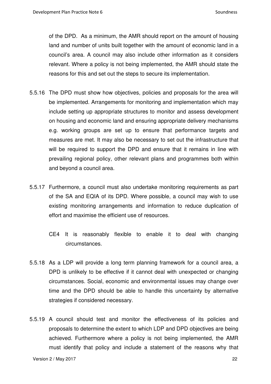of the DPD. As a minimum, the AMR should report on the amount of housing land and number of units built together with the amount of economic land in a council's area. A council may also include other information as it considers relevant. Where a policy is not being implemented, the AMR should state the reasons for this and set out the steps to secure its implementation.

- 5.5.16 The DPD must show how objectives, policies and proposals for the area will be implemented. Arrangements for monitoring and implementation which may include setting up appropriate structures to monitor and assess development on housing and economic land and ensuring appropriate delivery mechanisms e.g. working groups are set up to ensure that performance targets and measures are met. It may also be necessary to set out the infrastructure that will be required to support the DPD and ensure that it remains in line with prevailing regional policy, other relevant plans and programmes both within and beyond a council area.
- 5.5.17 Furthermore, a council must also undertake monitoring requirements as part of the SA and EQIA of its DPD. Where possible, a council may wish to use existing monitoring arrangements and information to reduce duplication of effort and maximise the efficient use of resources.
	- CE4 It is reasonably flexible to enable it to deal with changing circumstances.
- 5.5.18 As a LDP will provide a long term planning framework for a council area, a DPD is unlikely to be effective if it cannot deal with unexpected or changing circumstances. Social, economic and environmental issues may change over time and the DPD should be able to handle this uncertainty by alternative strategies if considered necessary.
- 5.5.19 A council should test and monitor the effectiveness of its policies and proposals to determine the extent to which LDP and DPD objectives are being achieved. Furthermore where a policy is not being implemented, the AMR must identify that policy and include a statement of the reasons why that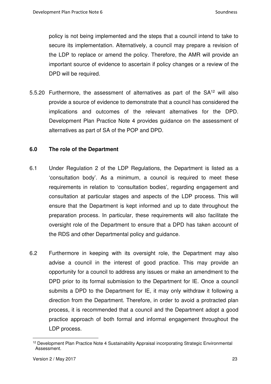policy is not being implemented and the steps that a council intend to take to secure its implementation. Alternatively, a council may prepare a revision of the LDP to replace or amend the policy. Therefore, the AMR will provide an important source of evidence to ascertain if policy changes or a review of the DPD will be required.

5.5.20 Furthermore, the assessment of alternatives as part of the SA<sup>12</sup> will also provide a source of evidence to demonstrate that a council has considered the implications and outcomes of the relevant alternatives for the DPD. Development Plan Practice Note 4 provides guidance on the assessment of alternatives as part of SA of the POP and DPD.

#### **6.0 The role of the Department**

- 6.1 Under Regulation 2 of the LDP Regulations, the Department is listed as a 'consultation body'. As a minimum, a council is required to meet these requirements in relation to 'consultation bodies', regarding engagement and consultation at particular stages and aspects of the LDP process. This will ensure that the Department is kept informed and up to date throughout the preparation process. In particular, these requirements will also facilitate the oversight role of the Department to ensure that a DPD has taken account of the RDS and other Departmental policy and guidance.
- 6.2 Furthermore in keeping with its oversight role, the Department may also advise a council in the interest of good practice. This may provide an opportunity for a council to address any issues or make an amendment to the DPD prior to its formal submission to the Department for IE. Once a council submits a DPD to the Department for IE, it may only withdraw it following a direction from the Department. Therefore, in order to avoid a protracted plan process, it is recommended that a council and the Department adopt a good practice approach of both formal and informal engagement throughout the LDP process.

<sup>12</sup> Development Plan Practice Note 4 Sustainability Appraisal incorporating Strategic Environmental Assessment.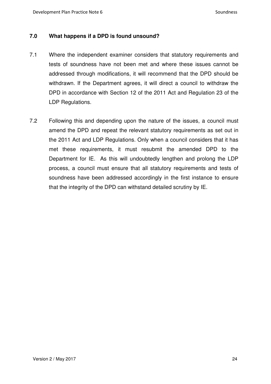#### **7.0 What happens if a DPD is found unsound?**

- 7.1 Where the independent examiner considers that statutory requirements and tests of soundness have not been met and where these issues cannot be addressed through modifications, it will recommend that the DPD should be withdrawn. If the Department agrees, it will direct a council to withdraw the DPD in accordance with Section 12 of the 2011 Act and Regulation 23 of the LDP Regulations.
- 7.2 Following this and depending upon the nature of the issues, a council must amend the DPD and repeat the relevant statutory requirements as set out in the 2011 Act and LDP Regulations. Only when a council considers that it has met these requirements, it must resubmit the amended DPD to the Department for IE. As this will undoubtedly lengthen and prolong the LDP process, a council must ensure that all statutory requirements and tests of soundness have been addressed accordingly in the first instance to ensure that the integrity of the DPD can withstand detailed scrutiny by IE.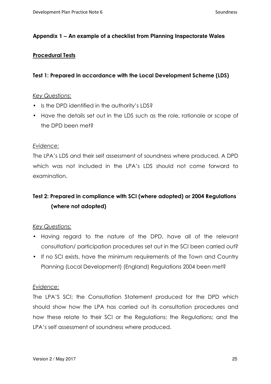#### **Appendix 1 – An example of a checklist from Planning Inspectorate Wales**

#### **Procedural Tests**

#### **Test 1: Prepared in accordance with the Local Development Scheme (LDS)**

#### *Key Questions*:

- Is the DPD identified in the authority's LDS?
- Have the details set out in the LDS such as the role, rationale or scope of the DPD been met?

#### *Evidence:*

The LPA's LDS and their self assessment of soundness where produced. A DPD which was not included in the LPA's LDS should not come forward to examination.

## **Test 2: Prepared in compliance with SCI (where adopted) or 2004 Regulations (where not adopted)**

#### *Key Questions:*

- Having regard to the nature of the DPD, have all of the relevant consultation/ participation procedures set out in the SCI been carried out?
- If no SCI exists, have the minimum requirements of the Town and Country Planning (Local Development) (England) Regulations 2004 been met?

#### *Evidence:*

The LPA'S SCI; the Consultation Statement produced for the DPD which should show how the LPA has carried out its consultation procedures and how these relate to their SCI or the Regulations; the Regulations; and the LPA's self assessment of soundness where produced.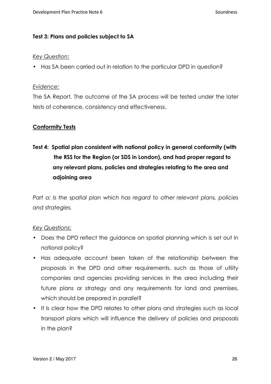#### **Test 3: Plans and policies subject to SA**

#### *Key Question*:

• Has SA been carried out in relation to the particular DPD in question?

#### *Evidence:*

The SA Report. The outcome of the SA process will be tested under the later tests of coherence, consistency and effectiveness.

#### **Conformity Tests**

# **Test 4: Spatial plan consistent with national policy in general conformity (with the RSS for the Region (or SDS in London), and had proper regard to any relevant plans, policies and strategies relating to the area and adjoining area**

*Part a: Is the spatial plan which has regard to other relevant plans, policies and strategies.* 

#### *Key Questions*:

- Does the DPD reflect the guidance on spatial planning which is set out in national policy?
- Has adequate account been taken of the relationship between the proposals in the DPD and other requirements, such as those of utility companies and agencies providing services in the area including their future plans or strategy and any requirements for land and premises, which should be prepared in parallel?
- It is clear how the DPD relates to other plans and strategies such as local transport plans which will influence the delivery of policies and proposals in the plan?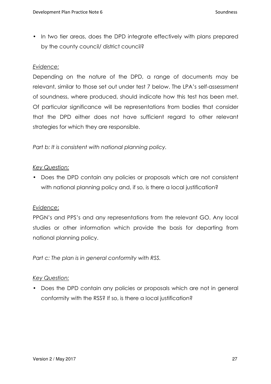• In two tier areas, does the DPD integrate effectively with plans prepared by the county council/ district council?

#### *Evidence:*

Depending on the nature of the DPD, a range of documents may be relevant, similar to those set out under test 7 below. The LPA's self-assessment of soundness, where produced, should indicate how this test has been met. Of particular significance will be representations from bodies that consider that the DPD either does not have sufficient regard to other relevant strategies for which they are responsible.

*Part b: It is consistent with national planning policy.* 

#### *Key Question:*

• Does the DPD contain any policies or proposals which are not consistent with national planning policy and, if so, is there a local justification?

#### *Evidence*:

PPGN's and PPS's and any representations from the relevant GO. Any local studies or other information which provide the basis for departing from national planning policy.

*Part c: The plan is in general conformity with RSS.*

#### *Key Question:*

• Does the DPD contain any policies or proposals which are not in general conformity with the RSS? If so, is there a local justification?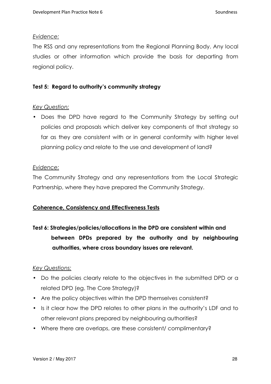#### *Evidence:*

The RSS and any representations from the Regional Planning Body. Any local studies or other information which provide the basis for departing from regional policy.

#### **Test 5: Regard to authority's community strategy**

#### *Key Question:*

• Does the DPD have regard to the Community Strategy by setting out policies and proposals which deliver key components of that strategy so far as they are consistent with or in general conformity with higher level planning policy and relate to the use and development of land?

#### *Evidence:*

The Community Strategy and any representations from the Local Strategic Partnership, where they have prepared the Community Strategy.

#### **Coherence, Consistency and Effectiveness Tests**

# **Test 6: Strategies/policies/allocations in the DPD are consistent within and between DPDs prepared by the authority and by neighbouring authorities, where cross boundary issues are relevant.**

#### *Key Questions:*

- Do the policies clearly relate to the objectives in the submitted DPD or a related DPD (eg. The Core Strategy)?
- Are the policy objectives within the DPD themselves consistent?
- Is it clear how the DPD relates to other plans in the authority's LDF and to other relevant plans prepared by neighbouring authorities?
- Where there are overlaps, are these consistent/ complimentary?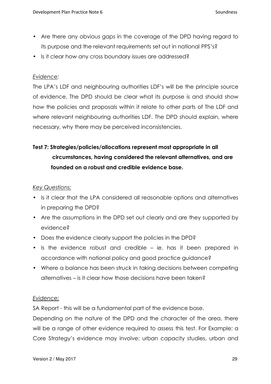- Are there any obvious gaps in the coverage of the DPD having regard to its purpose and the relevant requirements set out in national PPS's?
- Is it clear how any cross boundary issues are addressed?

#### *Evidence:*

The LPA's LDF and neighbouring authorities LDF's will be the principle source of evidence. The DPD should be clear what its purpose is and should show how the policies and proposals within it relate to other parts of The LDF and where relevant neighbouring authorities LDF. The DPD should explain, where necessary, why there may be perceived inconsistencies.

# **Test 7: Strategies/policies/allocations represent most appropriate in all circumstances, having considered the relevant alternatives, and are founded on a robust and credible evidence base.**

#### *Key Questions:*

- Is it clear that the LPA considered all reasonable options and alternatives in preparing the DPD?
- Are the assumptions in the DPD set out clearly and are they supported by evidence?
- Does the evidence clearly support the policies in the DPD?
- Is the evidence robust and credible ie. has it been prepared in accordance with national policy and good practice guidance?
- Where a balance has been struck in taking decisions between competing alternatives – is it clear how those decisions have been taken?

#### *Evidence:*

SA Report - this will be a fundamental part of the evidence base.

Depending on the nature of the DPD and the character of the area, there will be a range of other evidence required to assess this test. For Example; a Core Strategy's evidence may involve: urban capacity studies, urban and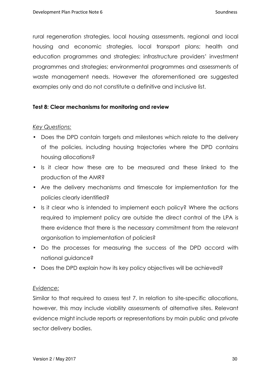rural regeneration strategies, local housing assessments, regional and local housing and economic strategies, local transport plans; health and education programmes and strategies; infrastructure providers' investment programmes and strategies; environmental programmes and assessments of waste management needs. However the aforementioned are suggested examples only and do not constitute a definitive and inclusive list.

#### **Test 8: Clear mechanisms for monitoring and review**

#### *Key Questions:*

- Does the DPD contain targets and milestones which relate to the delivery of the policies, including housing trajectories where the DPD contains housing allocations?
- Is it clear how these are to be measured and these linked to the production of the AMR?
- Are the delivery mechanisms and timescale for implementation for the policies clearly identified?
- Is it clear who is intended to implement each policy? Where the actions required to implement policy are outside the direct control of the LPA is there evidence that there is the necessary commitment from the relevant organisation to implementation of policies?
- Do the processes for measuring the success of the DPD accord with national guidance?
- Does the DPD explain how its key policy objectives will be achieved?

#### *Evidence:*

Similar to that required to assess test 7. In relation to site-specific allocations, however, this may include viability assessments of alternative sites. Relevant evidence might include reports or representations by main public and private sector delivery bodies.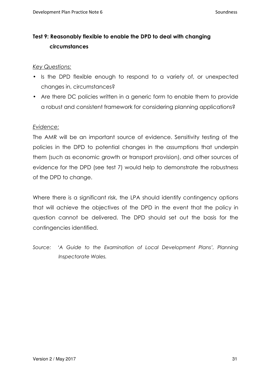## **Test 9: Reasonably flexible to enable the DPD to deal with changing circumstances**

#### *Key Questions:*

- Is the DPD flexible enough to respond to a variety of, or unexpected changes in, circumstances?
- Are there DC policies written in a generic form to enable them to provide a robust and consistent framework for considering planning applications?

#### *Evidence:*

The AMR will be an important source of evidence. Sensitivity testing of the policies in the DPD to potential changes in the assumptions that underpin them (such as economic growth or transport provision), and other sources of evidence for the DPD (see test 7) would help to demonstrate the robustness of the DPD to change.

Where there is a significant risk, the LPA should identify contingency options that will achieve the objectives of the DPD in the event that the policy in question cannot be delivered. The DPD should set out the basis for the contingencies identified.

Source: 'A Guide to the Examination of Local Development Plans', Planning *Inspectorate Wales.*